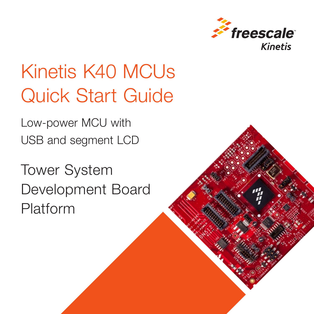

# Kinetis K40 MCUs Quick Start Guide

Low-power MCU with USB and segment LCD

Tower System Development Board Platform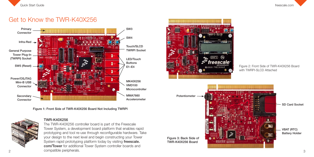

#### Get to Know the TWR-K40X256



Figure 1: Front Side of TWR-K40X256 Board Not Including TWRPI



#### TWR-K40X256

2 3 The TWR-K40X256 controller board is part of the Freescale Tower System, a development board platform that enables rapid prototyping and tool re-use through reconfigurable hardware. Take your design to the next level and begin constructing your Tower System rapid prototyping platform today by visiting freescale. com/Tower for additional Tower System controller boards and compatible peripherals.



Figure 2: Front Side of TWR-K40X256 Board with TWRPI-SLCD Attached

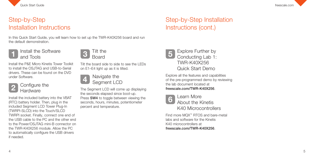



### Step-by-Step Installation Instructions

In this Quick Start Guide, you will learn how to set up the TWR-K40X256 board and run the default demonstration.

#### Install the Software and Tools

Install the P&E Micro Kinetis Tower Toolkit to install the OS ITAG and USB-to-Serial drivers. These can be found on the DVD under Software.



#### Configure the **Hardware**

Install the included battery into the VBAT (RTC) battery holder. Then, plug in the included Segment LCD Tower Plug-In (TWRPI-SLCD) into the Touch/SLCD TWRPI socket. Finally, connect one end of the USB cable to the PC and the other end to the Power/OSJTAG mini-B connector on the TWR-K40X256 module. Allow the PC to automatically configure the USB drivers if needed.



Tilt the board side to side to see the LEDs on E1–E4 light up as it is tilted.



The Segment LCD will come up displaying the seconds elapsed since boot-up. Press SW4 to toggle between viewing the seconds, hours, minutes, potentiometer percent and temperature.

# Step-by-Step Installation Instructions (cont.)



Explore all the features and capabilities of the pre-programmed demo by reviewing the lab document located at freescale.com/TWR-K40X256 .



6 Learn More About the Kinetis K40 Microcontrollers

Find more MQX ™ RTOS and bare-metal labs and software for the Kinetis K40 microcontrollers at freescale.com/TWR-K40X256 .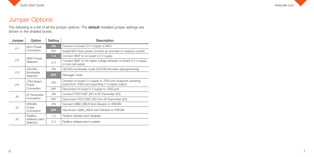



### Jumper Options

The following is a list of all the jumper options. The default installed jumper settings are shown in the shaded boxes.

| Jumper | Option                                   | Setting    | Description                                                                                                      |
|--------|------------------------------------------|------------|------------------------------------------------------------------------------------------------------------------|
| J11    | <b>MCU</b> Power<br>Connection           | <b>ON</b>  | Connect on-board 3.3 V supply to MCU                                                                             |
|        |                                          | OFF        | Isolate MCU from power (connect an ammeter to measure current)                                                   |
| J12    | <b>VBAT Power</b><br>Selection           | $1-2$      | Connect VBAT to on-board 3.3 V supply                                                                            |
|        |                                          | $2 - 3$    | Connect VBAT to the higher voltage between on-board 3.3 V supply<br>or coin-cell supply                          |
| J13    | OSJTAG<br>Bootloader<br>Selection        | ON         | OSJTAG bootloader mode (OSJTAG firmware reprogramming)                                                           |
|        |                                          | <b>OFF</b> | Debugger mode                                                                                                    |
| .115   | <b>JTAG Board</b><br>Power<br>Connection | ON         | Connect on-board 5 V supply to JTAG port (supports powering<br>board from JTAG pod supporting 5 V supply output) |
|        |                                          | OFF        | Disconnect on-board 5 V supply to JTAG port                                                                      |
| J6     | <b>IR Transmitter</b><br>Connection      | ON         | Connect PTD7/CMT IRO to IR Transmitter (D3)                                                                      |
|        |                                          | OFF        | Disconnect PTD7/CMT IRO from IR Transmitter (D3)                                                                 |
| J3     | <b>VRFGIN</b><br>Power<br>Connection     | ON         | Connect USB0 VBUS from Elevator to VREGIN                                                                        |
|        |                                          | <b>OFF</b> | Disconnect USB0 VBUS from Elevator to VREGIN                                                                     |
| J5     | FlexBus<br>Address Latch<br>Selection    | $1 - 2$    | FlexBus address latch disabled                                                                                   |
|        |                                          | $2 - 3$    | FlexBus address latch enabled                                                                                    |